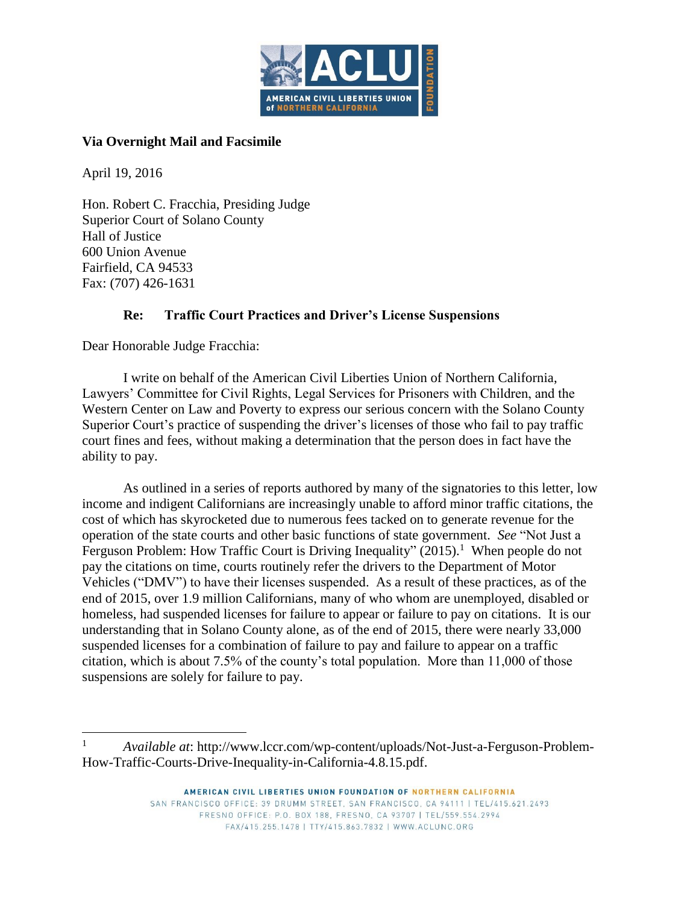

# **Via Overnight Mail and Facsimile**

April 19, 2016

 $\overline{a}$ 

Hon. Robert C. Fracchia, Presiding Judge Superior Court of Solano County Hall of Justice 600 Union Avenue Fairfield, CA 94533 Fax: (707) 426-1631

# **Re: Traffic Court Practices and Driver's License Suspensions**

Dear Honorable Judge Fracchia:

I write on behalf of the American Civil Liberties Union of Northern California, Lawyers' Committee for Civil Rights, Legal Services for Prisoners with Children, and the Western Center on Law and Poverty to express our serious concern with the Solano County Superior Court's practice of suspending the driver's licenses of those who fail to pay traffic court fines and fees, without making a determination that the person does in fact have the ability to pay.

As outlined in a series of reports authored by many of the signatories to this letter, low income and indigent Californians are increasingly unable to afford minor traffic citations, the cost of which has skyrocketed due to numerous fees tacked on to generate revenue for the operation of the state courts and other basic functions of state government. *See* "Not Just a Ferguson Problem: How Traffic Court is Driving Inequality" (2015).<sup>1</sup> When people do not pay the citations on time, courts routinely refer the drivers to the Department of Motor Vehicles ("DMV") to have their licenses suspended. As a result of these practices, as of the end of 2015, over 1.9 million Californians, many of who whom are unemployed, disabled or homeless, had suspended licenses for failure to appear or failure to pay on citations. It is our understanding that in Solano County alone, as of the end of 2015, there were nearly 33,000 suspended licenses for a combination of failure to pay and failure to appear on a traffic citation, which is about 7.5% of the county's total population. More than 11,000 of those suspensions are solely for failure to pay.

<sup>1</sup> *Available at*: http://www.lccr.com/wp-content/uploads/Not-Just-a-Ferguson-Problem-How-Traffic-Courts-Drive-Inequality-in-California-4.8.15.pdf.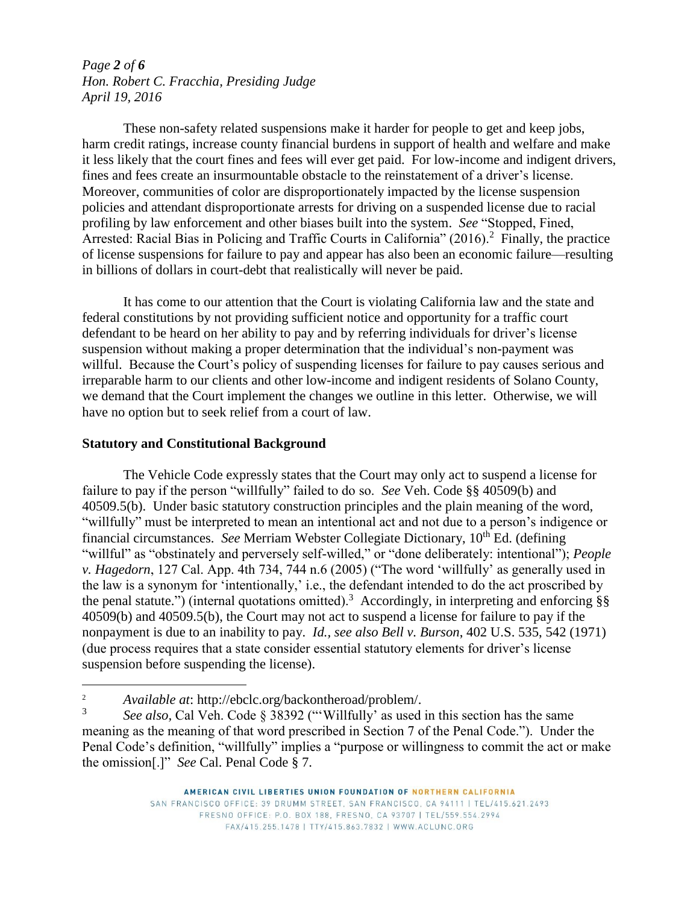## *Page 2 of 6 Hon. Robert C. Fracchia, Presiding Judge April 19, 2016*

These non-safety related suspensions make it harder for people to get and keep jobs, harm credit ratings, increase county financial burdens in support of health and welfare and make it less likely that the court fines and fees will ever get paid. For low-income and indigent drivers, fines and fees create an insurmountable obstacle to the reinstatement of a driver's license. Moreover, communities of color are disproportionately impacted by the license suspension policies and attendant disproportionate arrests for driving on a suspended license due to racial profiling by law enforcement and other biases built into the system. *See* "Stopped, Fined, Arrested: Racial Bias in Policing and Traffic Courts in California" (2016).<sup>2</sup> Finally, the practice of license suspensions for failure to pay and appear has also been an economic failure—resulting in billions of dollars in court-debt that realistically will never be paid.

It has come to our attention that the Court is violating California law and the state and federal constitutions by not providing sufficient notice and opportunity for a traffic court defendant to be heard on her ability to pay and by referring individuals for driver's license suspension without making a proper determination that the individual's non-payment was willful. Because the Court's policy of suspending licenses for failure to pay causes serious and irreparable harm to our clients and other low-income and indigent residents of Solano County, we demand that the Court implement the changes we outline in this letter. Otherwise, we will have no option but to seek relief from a court of law.

#### **Statutory and Constitutional Background**

 $\overline{a}$ 

The Vehicle Code expressly states that the Court may only act to suspend a license for failure to pay if the person "willfully" failed to do so. *See* Veh. Code §§ 40509(b) and 40509.5(b). Under basic statutory construction principles and the plain meaning of the word, "willfully" must be interpreted to mean an intentional act and not due to a person's indigence or financial circumstances. *See* Merriam Webster Collegiate Dictionary, 10<sup>th</sup> Ed. (defining "willful" as "obstinately and perversely self-willed," or "done deliberately: intentional"); *People v. Hagedorn*, 127 Cal. App. 4th 734, 744 n.6 (2005) ("The word 'willfully' as generally used in the law is a synonym for 'intentionally,' i.e., the defendant intended to do the act proscribed by the penal statute.") (internal quotations omitted).<sup>3</sup> Accordingly, in interpreting and enforcing §§ 40509(b) and 40509.5(b), the Court may not act to suspend a license for failure to pay if the nonpayment is due to an inability to pay. *Id., see also Bell v. Burson*, 402 U.S. 535, 542 (1971) (due process requires that a state consider essential statutory elements for driver's license suspension before suspending the license).

<sup>2</sup> *Available at*: http://ebclc.org/backontheroad/problem/.

<sup>3</sup> *See also,* Cal Veh. Code § 38392 ("'Willfully' as used in this section has the same meaning as the meaning of that word prescribed in Section 7 of the Penal Code."). Under the Penal Code's definition, "willfully" implies a "purpose or willingness to commit the act or make the omission[.]" *See* Cal. Penal Code § 7.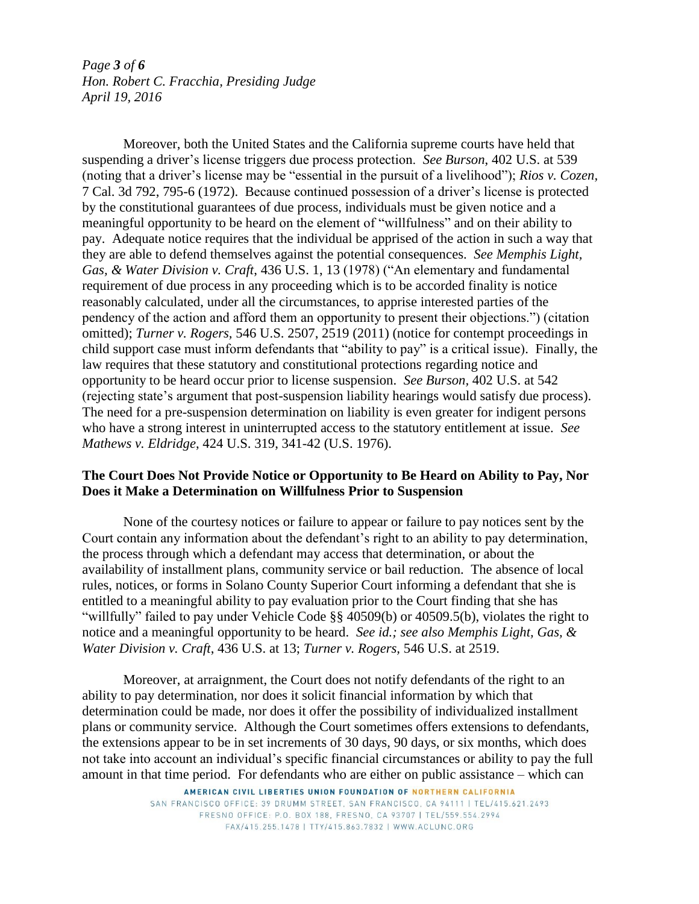*Page 3 of 6 Hon. Robert C. Fracchia, Presiding Judge April 19, 2016*

Moreover, both the United States and the California supreme courts have held that suspending a driver's license triggers due process protection. *See Burson*, 402 U.S. at 539 (noting that a driver's license may be "essential in the pursuit of a livelihood"); *Rios v. Cozen,*  7 Cal. 3d 792, 795-6 (1972). Because continued possession of a driver's license is protected by the constitutional guarantees of due process, individuals must be given notice and a meaningful opportunity to be heard on the element of "willfulness" and on their ability to pay. Adequate notice requires that the individual be apprised of the action in such a way that they are able to defend themselves against the potential consequences. *See Memphis Light, Gas, & Water Division v. Craft*, 436 U.S. 1, 13 (1978) ("An elementary and fundamental requirement of due process in any proceeding which is to be accorded finality is notice reasonably calculated, under all the circumstances, to apprise interested parties of the pendency of the action and afford them an opportunity to present their objections.") (citation omitted); *Turner v. Rogers,* 546 U.S. 2507, 2519 (2011) (notice for contempt proceedings in child support case must inform defendants that "ability to pay" is a critical issue). Finally, the law requires that these statutory and constitutional protections regarding notice and opportunity to be heard occur prior to license suspension. *See Burson,* 402 U.S. at 542 (rejecting state's argument that post-suspension liability hearings would satisfy due process). The need for a pre-suspension determination on liability is even greater for indigent persons who have a strong interest in uninterrupted access to the statutory entitlement at issue. *See Mathews v. Eldridge*, 424 U.S. 319, 341-42 (U.S. 1976).

### **The Court Does Not Provide Notice or Opportunity to Be Heard on Ability to Pay, Nor Does it Make a Determination on Willfulness Prior to Suspension**

None of the courtesy notices or failure to appear or failure to pay notices sent by the Court contain any information about the defendant's right to an ability to pay determination, the process through which a defendant may access that determination, or about the availability of installment plans, community service or bail reduction. The absence of local rules, notices, or forms in Solano County Superior Court informing a defendant that she is entitled to a meaningful ability to pay evaluation prior to the Court finding that she has "willfully" failed to pay under Vehicle Code §§ 40509(b) or 40509.5(b), violates the right to notice and a meaningful opportunity to be heard. *See id.; see also Memphis Light, Gas, & Water Division v. Craft*, 436 U.S. at 13; *Turner v. Rogers,* 546 U.S. at 2519.

Moreover, at arraignment, the Court does not notify defendants of the right to an ability to pay determination, nor does it solicit financial information by which that determination could be made, nor does it offer the possibility of individualized installment plans or community service. Although the Court sometimes offers extensions to defendants, the extensions appear to be in set increments of 30 days, 90 days, or six months, which does not take into account an individual's specific financial circumstances or ability to pay the full amount in that time period. For defendants who are either on public assistance – which can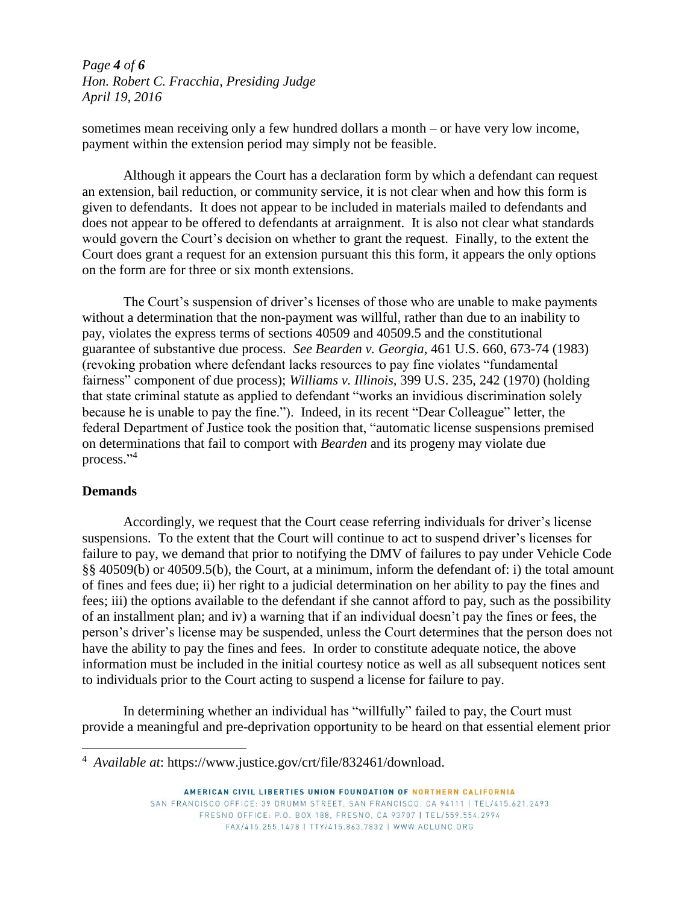*Page 4 of 6 Hon. Robert C. Fracchia, Presiding Judge April 19, 2016*

sometimes mean receiving only a few hundred dollars a month – or have very low income, payment within the extension period may simply not be feasible.

Although it appears the Court has a declaration form by which a defendant can request an extension, bail reduction, or community service, it is not clear when and how this form is given to defendants. It does not appear to be included in materials mailed to defendants and does not appear to be offered to defendants at arraignment. It is also not clear what standards would govern the Court's decision on whether to grant the request. Finally, to the extent the Court does grant a request for an extension pursuant this this form, it appears the only options on the form are for three or six month extensions.

The Court's suspension of driver's licenses of those who are unable to make payments without a determination that the non-payment was willful, rather than due to an inability to pay, violates the express terms of sections 40509 and 40509.5 and the constitutional guarantee of substantive due process. *See Bearden v. Georgia*, 461 U.S. 660, 673-74 (1983) (revoking probation where defendant lacks resources to pay fine violates "fundamental fairness" component of due process); *Williams v. Illinois,* 399 U.S. 235, 242 (1970) (holding that state criminal statute as applied to defendant "works an invidious discrimination solely because he is unable to pay the fine."). Indeed, in its recent "Dear Colleague" letter, the federal Department of Justice took the position that, "automatic license suspensions premised on determinations that fail to comport with *Bearden* and its progeny may violate due process." 4

### **Demands**

 $\overline{a}$ 

Accordingly, we request that the Court cease referring individuals for driver's license suspensions. To the extent that the Court will continue to act to suspend driver's licenses for failure to pay, we demand that prior to notifying the DMV of failures to pay under Vehicle Code §§ 40509(b) or 40509.5(b), the Court, at a minimum, inform the defendant of: i) the total amount of fines and fees due; ii) her right to a judicial determination on her ability to pay the fines and fees; iii) the options available to the defendant if she cannot afford to pay, such as the possibility of an installment plan; and iv) a warning that if an individual doesn't pay the fines or fees, the person's driver's license may be suspended, unless the Court determines that the person does not have the ability to pay the fines and fees. In order to constitute adequate notice, the above information must be included in the initial courtesy notice as well as all subsequent notices sent to individuals prior to the Court acting to suspend a license for failure to pay.

In determining whether an individual has "willfully" failed to pay, the Court must provide a meaningful and pre-deprivation opportunity to be heard on that essential element prior

<sup>4</sup> *Available at*: https://www.justice.gov/crt/file/832461/download.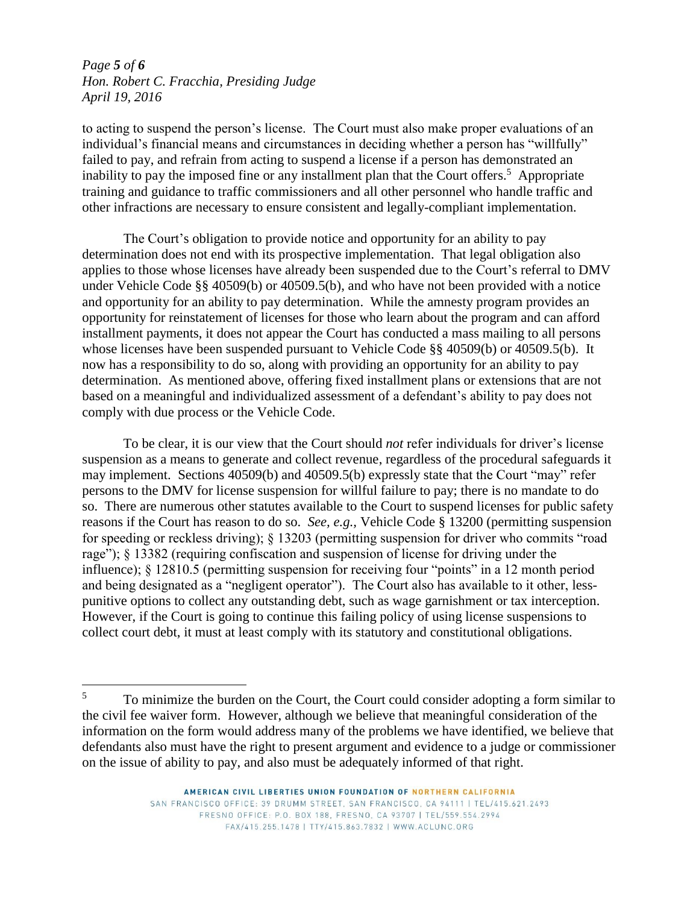## *Page 5 of 6 Hon. Robert C. Fracchia, Presiding Judge April 19, 2016*

 $\overline{a}$ 

to acting to suspend the person's license. The Court must also make proper evaluations of an individual's financial means and circumstances in deciding whether a person has "willfully" failed to pay, and refrain from acting to suspend a license if a person has demonstrated an inability to pay the imposed fine or any installment plan that the Court offers.<sup>5</sup> Appropriate training and guidance to traffic commissioners and all other personnel who handle traffic and other infractions are necessary to ensure consistent and legally-compliant implementation.

The Court's obligation to provide notice and opportunity for an ability to pay determination does not end with its prospective implementation. That legal obligation also applies to those whose licenses have already been suspended due to the Court's referral to DMV under Vehicle Code §§ 40509(b) or 40509.5(b), and who have not been provided with a notice and opportunity for an ability to pay determination. While the amnesty program provides an opportunity for reinstatement of licenses for those who learn about the program and can afford installment payments, it does not appear the Court has conducted a mass mailing to all persons whose licenses have been suspended pursuant to Vehicle Code §§ 40509(b) or 40509.5(b). It now has a responsibility to do so, along with providing an opportunity for an ability to pay determination. As mentioned above, offering fixed installment plans or extensions that are not based on a meaningful and individualized assessment of a defendant's ability to pay does not comply with due process or the Vehicle Code.

To be clear, it is our view that the Court should *not* refer individuals for driver's license suspension as a means to generate and collect revenue, regardless of the procedural safeguards it may implement. Sections 40509(b) and 40509.5(b) expressly state that the Court "may" refer persons to the DMV for license suspension for willful failure to pay; there is no mandate to do so. There are numerous other statutes available to the Court to suspend licenses for public safety reasons if the Court has reason to do so. *See, e.g.,* Vehicle Code § 13200 (permitting suspension for speeding or reckless driving); § 13203 (permitting suspension for driver who commits "road rage"); § 13382 (requiring confiscation and suspension of license for driving under the influence); § 12810.5 (permitting suspension for receiving four "points" in a 12 month period and being designated as a "negligent operator"). The Court also has available to it other, lesspunitive options to collect any outstanding debt, such as wage garnishment or tax interception. However, if the Court is going to continue this failing policy of using license suspensions to collect court debt, it must at least comply with its statutory and constitutional obligations.

<sup>&</sup>lt;sup>5</sup> To minimize the burden on the Court, the Court could consider adopting a form similar to the civil fee waiver form. However, although we believe that meaningful consideration of the information on the form would address many of the problems we have identified, we believe that defendants also must have the right to present argument and evidence to a judge or commissioner on the issue of ability to pay, and also must be adequately informed of that right.